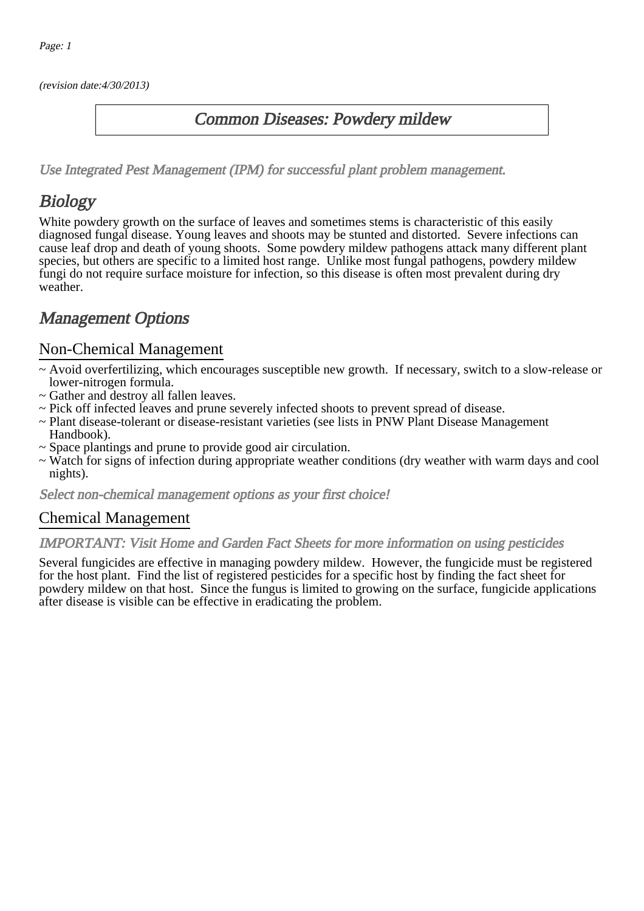(revision date:4/30/2013)

### Common Diseases: Powdery mildew

[Use Integrated Pest Management \(IPM\) for successful plant problem management.](http://pep.wsu.edu/Home_Garden/H_G_Pesticide_info/urban_Integrated_Pest_Managmen/)

# **Biology**

White powdery growth on the surface of leaves and sometimes stems is characteristic of this easily diagnosed fungal disease. Young leaves and shoots may be stunted and distorted. Severe infections can cause leaf drop and death of young shoots. Some powdery mildew pathogens attack many different plant species, but others are specific to a limited host range. Unlike most fungal pathogens, powdery mildew fungi do not require surface moisture for infection, so this disease is often most prevalent during dry weather.

# Management Options

#### Non-Chemical Management

- ~ Avoid overfertilizing, which encourages susceptible new growth. If necessary, switch to a slow-release or lower-nitrogen formula.
- ~ Gather and destroy all fallen leaves.
- ~ Pick off infected leaves and prune severely infected shoots to prevent spread of disease.
- ~ Plant disease-tolerant or disease-resistant varieties (see lists in PNW Plant Disease Management Handbook).
- ~ Space plantings and prune to provide good air circulation.
- ~ Watch for signs of infection during appropriate weather conditions (dry weather with warm days and cool nights).

Select non-chemical management options as your first choice!

#### Chemical Management

#### IMPORTANT: [Visit Home and Garden Fact Sheets for more information on using pesticides](http://pep.wsu.edu/Home_Garden/H_G_Pesticide_info/)

Several fungicides are effective in managing powdery mildew. However, the fungicide must be registered for the host plant. Find the list of registered pesticides for a specific host by finding the fact sheet for powdery mildew on that host. Since the fungus is limited to growing on the surface, fungicide applications after disease is visible can be effective in eradicating the problem.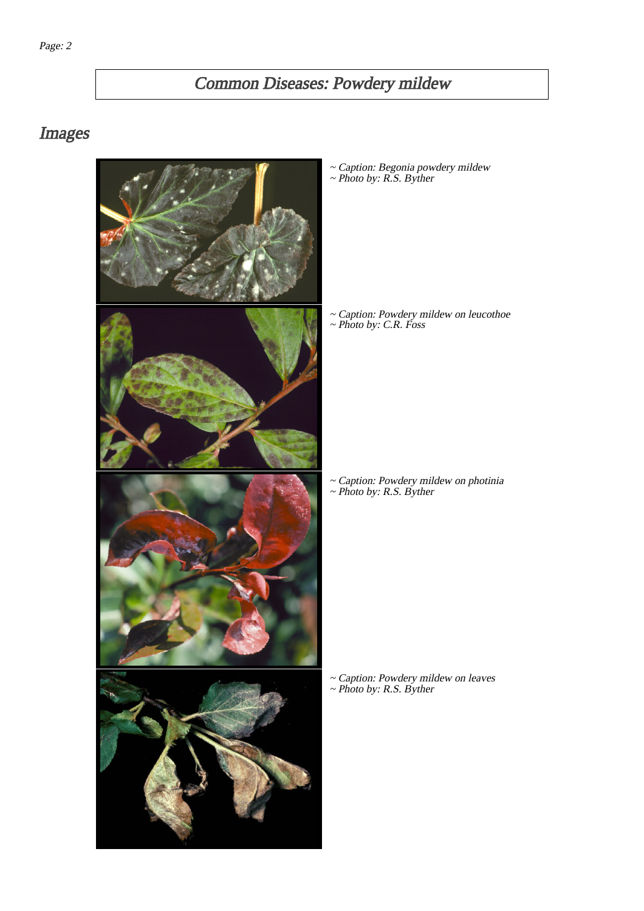# Common Diseases: Powdery mildew

## Images



~ Caption: Begonia powdery mildew ~ Photo by: R.S. Byther

~ Caption: Powdery mildew on leucothoe ~ Photo by: C.R. Foss

~ Caption: Powdery mildew on photinia ~ Photo by: R.S. Byther

~ Caption: Powdery mildew on leaves ~ Photo by: R.S. Byther